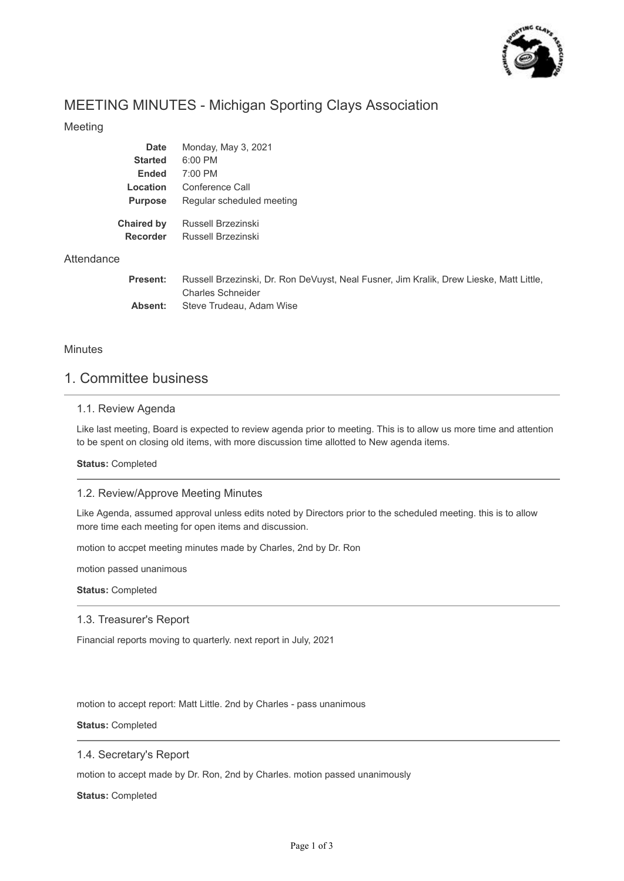

# MEETING MINUTES - Michigan Sporting Clays Association

### Meeting

| <b>Date</b>                   | Monday, May 3, 2021                                                                    |
|-------------------------------|----------------------------------------------------------------------------------------|
| <b>Started</b>                | 6:00 PM                                                                                |
| <b>Ended</b>                  | $7:00$ PM                                                                              |
| Location                      | Conference Call                                                                        |
| <b>Purpose</b>                | Regular scheduled meeting                                                              |
| Chaired by<br><b>Recorder</b> | Russell Brzezinski<br>Russell Brzezinski                                               |
|                               |                                                                                        |
| Present:                      | Russell Brzezinski, Dr. Ron DeVuyst, Neal Fusner, Jim Kralik, Drew Lieske, Matt Little |

| Present: | Russell Brzezinski, Dr. Ron DeVuyst, Neal Fusner, Jim Kralik, Drew Lieske, Matt Little, |
|----------|-----------------------------------------------------------------------------------------|
|          | Charles Schneider                                                                       |
| Absent:  | Steve Trudeau, Adam Wise                                                                |

#### **Minutes**

**Attendance** 

## 1. Committee business

### 1.1. Review Agenda

Like last meeting, Board is expected to review agenda prior to meeting. This is to allow us more time and attention to be spent on closing old items, with more discussion time allotted to New agenda items.

**Status:** Completed

#### 1.2. Review/Approve Meeting Minutes

Like Agenda, assumed approval unless edits noted by Directors prior to the scheduled meeting. this is to allow more time each meeting for open items and discussion.

motion to accpet meeting minutes made by Charles, 2nd by Dr. Ron

motion passed unanimous

**Status:** Completed

#### 1.3. Treasurer's Report

Financial reports moving to quarterly. next report in July, 2021

motion to accept report: Matt Little. 2nd by Charles - pass unanimous

**Status:** Completed

#### 1.4. Secretary's Report

motion to accept made by Dr. Ron, 2nd by Charles. motion passed unanimously

**Status:** Completed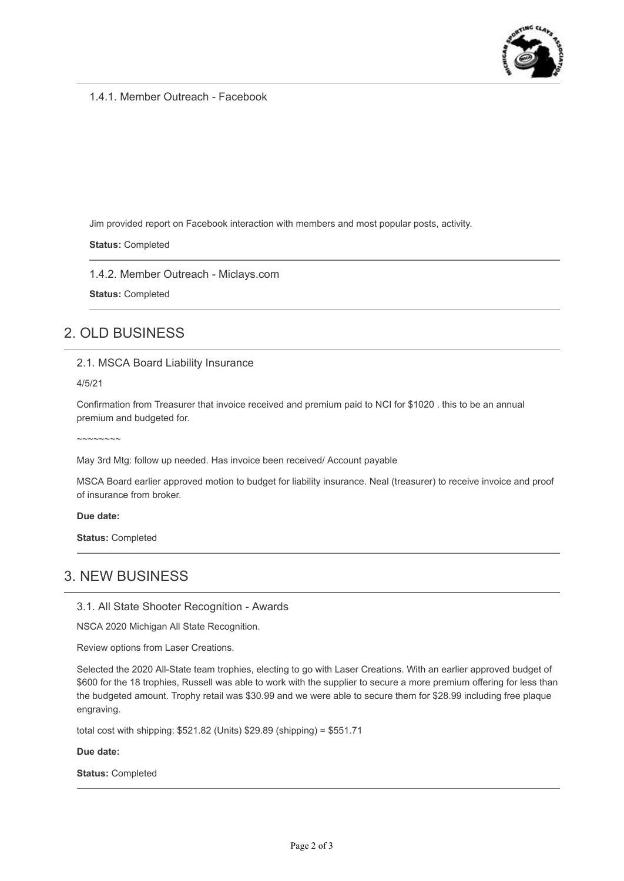

1.4.1. Member Outreach - Facebook

Jim provided report on Facebook interaction with members and most popular posts, activity.

**Status:** Completed

1.4.2. Member Outreach - Miclays.com

**Status:** Completed

# 2. OLD BUSINESS

2.1. MSCA Board Liability Insurance

4/5/21

Confirmation from Treasurer that invoice received and premium paid to NCI for \$1020 . this to be an annual premium and budgeted for.

 $\sim$ ~~~~~~

May 3rd Mtg: follow up needed. Has invoice been received/ Account payable

MSCA Board earlier approved motion to budget for liability insurance. Neal (treasurer) to receive invoice and proof of insurance from broker.

**Due date:**

**Status:** Completed

## 3. NEW BUSINESS

3.1. All State Shooter Recognition - Awards

NSCA 2020 Michigan All State Recognition.

Review options from Laser Creations.

Selected the 2020 All-State team trophies, electing to go with Laser Creations. With an earlier approved budget of \$600 for the 18 trophies, Russell was able to work with the supplier to secure a more premium offering for less than the budgeted amount. Trophy retail was \$30.99 and we were able to secure them for \$28.99 including free plaque engraving.

total cost with shipping: \$521.82 (Units) \$29.89 (shipping) = \$551.71

**Due date:**

**Status:** Completed